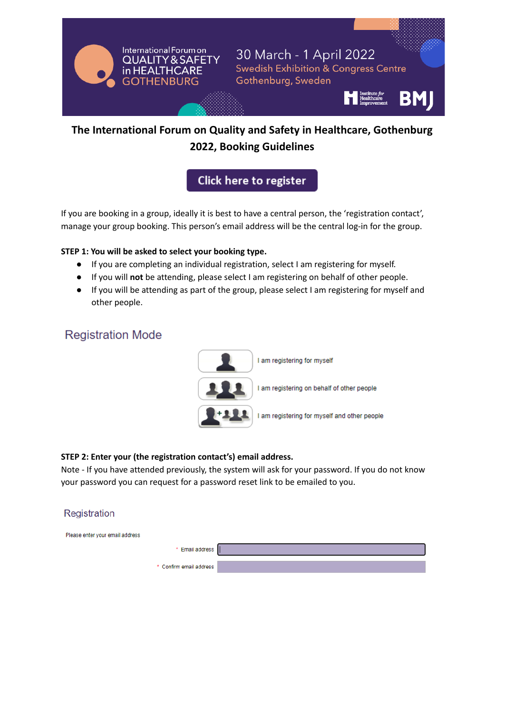

# **The International Forum on Quality and Safety in Healthcare, Gothenburg 2022, Booking Guidelines**

Click here to register

If you are booking in a group, ideally it is best to have a central person, the 'registration contact', manage your group booking. This person's email address will be the central log-in for the group.

#### **STEP 1: You will be asked to select your booking type.**

- If you are completing an individual registration, select I am registering for myself.
- If you will **not** be attending, please select I am registering on behalf of other people.
- If you will be attending as part of the group, please select I am registering for myself and other people.

# **Registration Mode**



## **STEP 2: Enter your (the registration contact's) email address.**

Note - If you have attended previously, the system will ask for your password. If you do not know your password you can request for a password reset link to be emailed to you.

## Registration

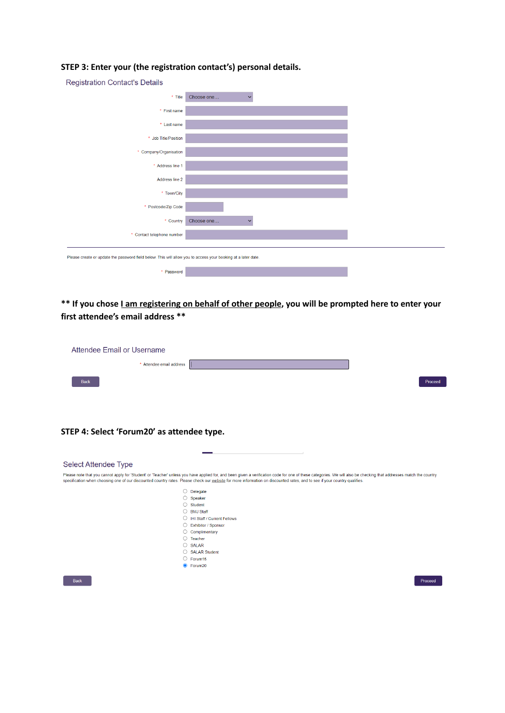| <b>Registration Contact's Details</b>                                                                         |                                    |  |
|---------------------------------------------------------------------------------------------------------------|------------------------------------|--|
| * Title                                                                                                       | Choose one<br>$\checkmark$         |  |
| * First name                                                                                                  |                                    |  |
| * Last name                                                                                                   |                                    |  |
| * Job Title/Position                                                                                          |                                    |  |
| * Company/Organisation                                                                                        |                                    |  |
| * Address line 1                                                                                              |                                    |  |
| Address line 2                                                                                                |                                    |  |
| * Town/City                                                                                                   |                                    |  |
| * Postcode/Zip Code                                                                                           |                                    |  |
| * Country                                                                                                     | Choose one<br>$\ddot{\phantom{0}}$ |  |
| * Contact telephone number                                                                                    |                                    |  |
|                                                                                                               |                                    |  |
| Please create or update the password field below. This will allow you to access your booking at a later date. |                                    |  |
| * Password                                                                                                    |                                    |  |

## **STEP 3: Enter your (the registration contact's) personal details.**

\*\* If you chose *Lam registering on behalf of other people*, you will be prompted here to enter your **first attendee's email address \*\***

| Attendee Email or Username |  |         |  |
|----------------------------|--|---------|--|
| * Attendee email address   |  |         |  |
| <b>Back</b>                |  | Proceed |  |

### **STEP 4: Select 'Forum20' as attendee type.**

| Select Attendee Type |                                                                                                                                                                                                                                                                                                                                                                                                  |
|----------------------|--------------------------------------------------------------------------------------------------------------------------------------------------------------------------------------------------------------------------------------------------------------------------------------------------------------------------------------------------------------------------------------------------|
|                      | Please note that you cannot apply for 'Student' or 'Teacher' unless you have applied for, and been given a verification code for one of these categories. We will also be checking that addresses match the country<br>specification when choosing one of our discounted country rates. Please check our website for more information on discounted rates, and to see if your country qualifies. |
|                      | Delegate                                                                                                                                                                                                                                                                                                                                                                                         |
|                      | $\bigcirc$ Speaker                                                                                                                                                                                                                                                                                                                                                                               |
|                      | $\bigcirc$ Student                                                                                                                                                                                                                                                                                                                                                                               |
|                      | ○ BMJ Staff                                                                                                                                                                                                                                                                                                                                                                                      |
|                      | IHI Staff / Current Fellows                                                                                                                                                                                                                                                                                                                                                                      |
|                      | ◯ Exhibitor / Sponsor                                                                                                                                                                                                                                                                                                                                                                            |
|                      | Complimentary                                                                                                                                                                                                                                                                                                                                                                                    |
| $\rightarrow$        | Teacher                                                                                                                                                                                                                                                                                                                                                                                          |
|                      | $\bigcirc$ SALAR                                                                                                                                                                                                                                                                                                                                                                                 |
|                      | ◯ SALAR Student                                                                                                                                                                                                                                                                                                                                                                                  |
|                      | $\circ$ Forum15                                                                                                                                                                                                                                                                                                                                                                                  |
|                      | C Forum20                                                                                                                                                                                                                                                                                                                                                                                        |
| <b>Back</b>          | Proceed                                                                                                                                                                                                                                                                                                                                                                                          |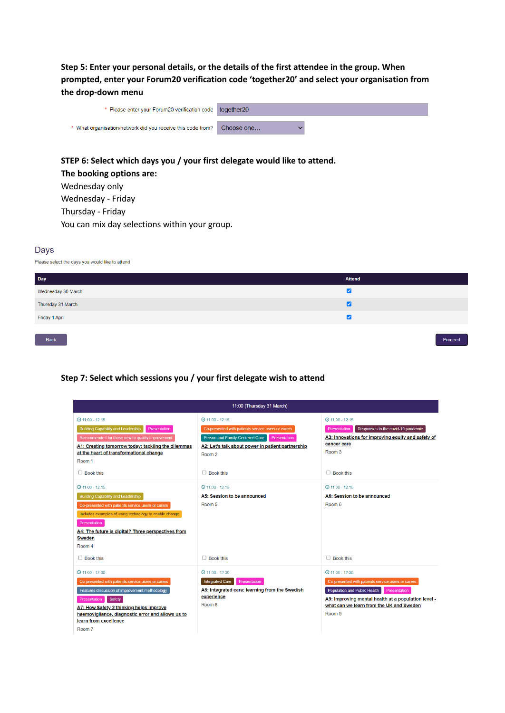**Step 5: Enter your personal details, or the details of the first attendee in the group. When prompted, enter your Forum20 verification code 'together20' and select your organisation from the drop-down menu**

| * Please enter your Forum20 verification code together20    |            |  |
|-------------------------------------------------------------|------------|--|
| * What organisation/network did you receive this code from? | Choose one |  |
|                                                             |            |  |

## **STEP 6: Select which days you / your first delegate would like to attend. The booking options are:** Wednesday only

Wednesday - Friday Thursday - Friday You can mix day selections within your group.

#### Days

Please select the days you would like to attend

| Day                | <b>Attend</b> |
|--------------------|---------------|
| Wednesday 30 March | ☑             |
| Thursday 31 March  | ø             |
| Friday 1 April     | ☑             |
|                    |               |
| Back               | Proceed       |

#### **Step 7: Select which sessions you / your first delegate wish to attend**

| 11:00 (Thursday 31 March)                                                                               |                                                                        |                                                                                                 |  |
|---------------------------------------------------------------------------------------------------------|------------------------------------------------------------------------|-------------------------------------------------------------------------------------------------|--|
| $@11:00 - 12:15$                                                                                        | $@11:00 - 12:15$                                                       | $@11:00 - 12:15$                                                                                |  |
| <b>Building Capability and Leadership</b><br>Presentation                                               | Co-presented with patients service users or carers                     | Presentation<br>Responses to the covid-19 pandemic                                              |  |
| Recommended for those new to quality improvement                                                        | Person and Family-Centered Care<br>Presentation                        | A3: Innovations for improving equity and safety of                                              |  |
| A1: Creating tomorrow today; tackling the dilemmas<br>at the heart of transformational change<br>Room 1 | A2: Let's talk about power in patient partnership<br>Room <sub>2</sub> | cancer care<br>Room 3                                                                           |  |
| $\Box$ Book this                                                                                        | $\Box$ Book this                                                       | $\Box$ Book this                                                                                |  |
| $Q$ 11:00 - 12:15                                                                                       | $Q$ 11:00 - 12:15                                                      | $Q$ 11:00 - 12:15                                                                               |  |
| <b>Building Capability and Leadership</b>                                                               | A5: Session to be announced                                            | A6: Session to be announced                                                                     |  |
| Co-presented with patients service users or carers                                                      | Room 5                                                                 | Room 6                                                                                          |  |
| Includes examples of using technology to enable change                                                  |                                                                        |                                                                                                 |  |
| Presentation                                                                                            |                                                                        |                                                                                                 |  |
| A4: The future is digital? Three perspectives from<br><b>Sweden</b>                                     |                                                                        |                                                                                                 |  |
| Room 4                                                                                                  |                                                                        |                                                                                                 |  |
| $\Box$ Book this                                                                                        | $\Box$ Book this                                                       | $\Box$ Book this                                                                                |  |
| $\Theta$ 11:00 - 12:30                                                                                  | $Q$ 11:00 - 12:30                                                      | $Q$ 11:00 - 12:30                                                                               |  |
| Co-presented with patients service users or carers                                                      | <b>Integrated Care</b><br>Presentation                                 | Co-presented with patients service users or carers                                              |  |
| Features discussion of improvement methodology                                                          | A8: Integrated care: learning from the Swedish                         | Population and Public Health<br>Presentation                                                    |  |
| Safety<br>Presentation                                                                                  | experience<br>Room 8                                                   | A9: Improving mental health at a population level -<br>what can we learn from the UK and Sweden |  |
| A7: How Safety 2 thinking helps improve<br>haemovigilance, diagnostic error and allows us to            |                                                                        | Room <sub>9</sub>                                                                               |  |
| learn from excellence                                                                                   |                                                                        |                                                                                                 |  |
| Room 7                                                                                                  |                                                                        |                                                                                                 |  |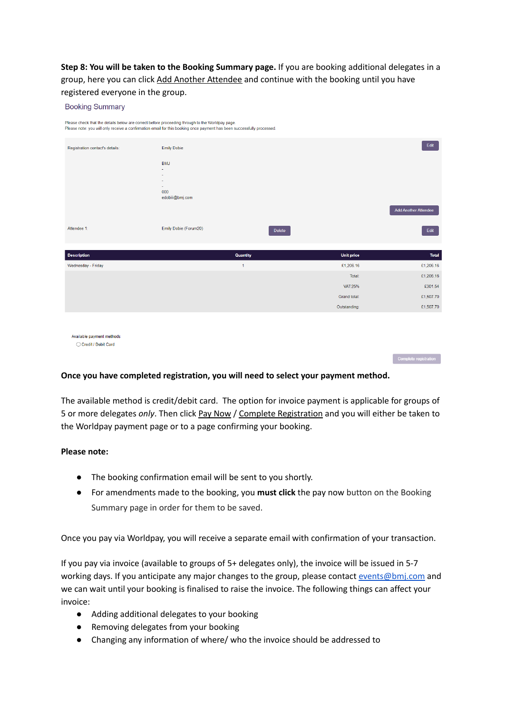**Step 8: You will be taken to the Booking Summary page.** If you are booking additional delegates in a group, here you can click Add Another Attendee and continue with the booking until you have registered everyone in the group.

#### Please check that the details below are correct before proceeding through to the Worldpay page Please note: you will only receive a confirmation email for this booking once payment has been successfully processed Registration contact's details: Emily Dobie **BMJ**  $000$ edobiii@bmj.com **Add Another Attend** Attendee 1 Emily Dobie (Forum20) Delete Edit Quantity **Unit price Description** Total Wednesday - Friday £1,206,16 £1,206,16 Total £1,206.16 **VAT:25%** £301.54 £1,507.70 Grand total: Outstanding: £1,507.70 Available payment methods  $\bigcirc$  Credit / Debit Card

#### **Once you have completed registration, you will need to select your payment method.**

The available method is credit/debit card. The option for invoice payment is applicable for groups of 5 or more delegates *only*. Then click Pay Now / Complete Registration and you will either be taken to the Worldpay payment page or to a page confirming your booking.

Complete registration

#### **Please note:**

**Booking Summary** 

- The booking confirmation email will be sent to you shortly.
- For amendments made to the booking, you **must click** the pay now button on the Booking Summary page in order for them to be saved.

Once you pay via Worldpay, you will receive a separate email with confirmation of your transaction.

If you pay via invoice (available to groups of 5+ delegates only), the invoice will be issued in 5-7 working days. If you anticipate any major changes to the group, please contact [events@bmj.com](mailto:events@bmj.com) and we can wait until your booking is finalised to raise the invoice. The following things can affect your invoice:

- Adding additional delegates to your booking
- Removing delegates from your booking
- Changing any information of where/ who the invoice should be addressed to